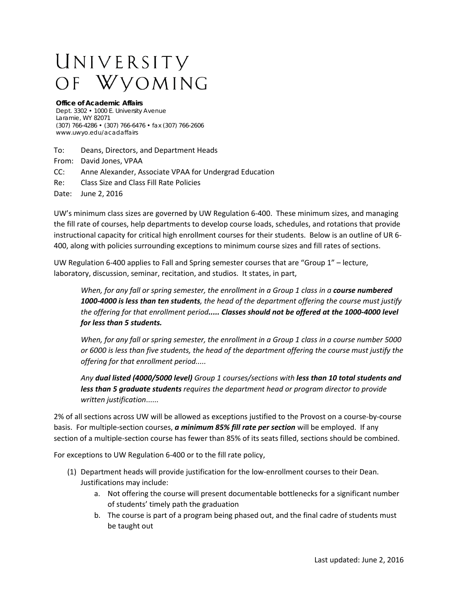## UNIVERSITY OF WYOMING

## **Office of Academic Affairs**

Dept. 3302 • 1000 E. University Avenue Laramie, WY 82071 (307) 766-4286 • (307) 766-6476 • fax (307) 766-2606 www.uwyo.edu/acadaffairs

To: Deans, Directors, and Department Heads

From: David Jones, VPAA

- CC: Anne Alexander, Associate VPAA for Undergrad Education
- Re: Class Size and Class Fill Rate Policies

Date: June 2, 2016

UW's minimum class sizes are governed by UW Regulation 6-400. These minimum sizes, and managing the fill rate of courses, help departments to develop course loads, schedules, and rotations that provide instructional capacity for critical high enrollment courses for their students. Below is an outline of UR 6- 400, along with policies surrounding exceptions to minimum course sizes and fill rates of sections.

UW Regulation 6-400 applies to Fall and Spring semester courses that are "Group 1" – lecture, laboratory, discussion, seminar, recitation, and studios. It states, in part,

*When, for any fall or spring semester, the enrollment in a Group 1 class in a course numbered 1000-4000 is less than ten students, the head of the department offering the course must justify the offering for that enrollment period..... Classes should not be offered at the 1000-4000 level for less than 5 students.*

*When, for any fall or spring semester, the enrollment in a Group 1 class in a course number 5000 or 6000 is less than five students, the head of the department offering the course must justify the offering for that enrollment period.....*

*Any dual listed (4000/5000 level) Group 1 courses/sections with less than 10 total students and less than 5 graduate students requires the department head or program director to provide written justification*......

2% of all sections across UW will be allowed as exceptions justified to the Provost on a course-by-course basis. For multiple-section courses, *a minimum 85% fill rate per section* will be employed. If any section of a multiple-section course has fewer than 85% of its seats filled, sections should be combined.

For exceptions to UW Regulation 6-400 or to the fill rate policy,

- (1) Department heads will provide justification for the low-enrollment courses to their Dean. Justifications may include:
	- a. Not offering the course will present documentable bottlenecks for a significant number of students' timely path the graduation
	- b. The course is part of a program being phased out, and the final cadre of students must be taught out